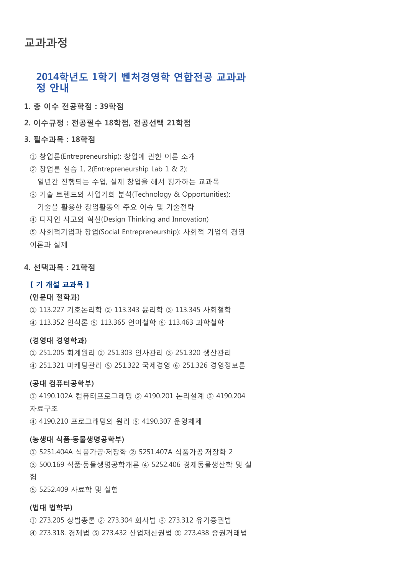# 교과과정

# 2014학년도 1학기 벤처경영학 연합전공 교과과 정 안내

1. 총 이수 전공학점 : 39학점

2. 이수규정 : 전공필수 18학점, 전공선택 21학점

# 3. 필수과목 : 18학점

- ① 창업론(Entrepreneurship): 창업에 관한 이론 소개
- ② 창업론 실습 1, 2(Entrepreneurship Lab 1 & 2): 일년간 진행되는 수업, 실제 창업을 해서 평가하는 교과목
- ③ 기술 트렌드와 사업기회 분석(Technology & Opportunities): 기술을 활용한 창업활동의 주요 이슈 및 기술전략
- ④ 디자인 사고와 혁신(Design Thinking and Innovation)
- ⑤ 사회적기업과 창업(Social Entrepreneurship): 사회적 기업의 경영 이론과 실제
- 

## 4. 선택과목 : 21학점

## 【 기 개설 교과목 】

#### (인문대 철학과)

- ① 113.227 기호논리학 ② 113.343 윤리학 ③ 113.345 사회철학
- ④ 113.352 인식론 ⑤ 113.365 언어철학 ⑥ 113.463 과학철학

## (경영대 경영학과)

① 251.205 회계원리 ② 251.303 인사관리 ③ 251.320 생산관리 ④ 251.321 마케팅관리 ⑤ 251.322 국제경영 ⑥ 251.326 경영정보론

#### (공대 컴퓨터공학부)

① 4190.102A 컴퓨터프로그래밍 ② 4190.201 논리설계 ③ 4190.204 자료구조 ④ 4190.210 프로그래밍의 원리 ⑤ 4190.307 운영체제

#### (농생대 식품·동물생명공학부)

① 5251.404A 식품가공·저장학 ② 5251.407A 식품가공·저장학 2 ③ 500.169 식품·동물생명공학개론 ④ 5252.406 경제동물생산학 및 실 험

⑤ 5252.409 사료학 및 실험

#### (법대 법학부)

① 273.205 상법총론 ② 273.304 회사법 ③ 273.312 유가증권법 ④ 273.318. 경제법 ⑤ 273.432 산업재산권법 ⑥ 273.438 증권거래법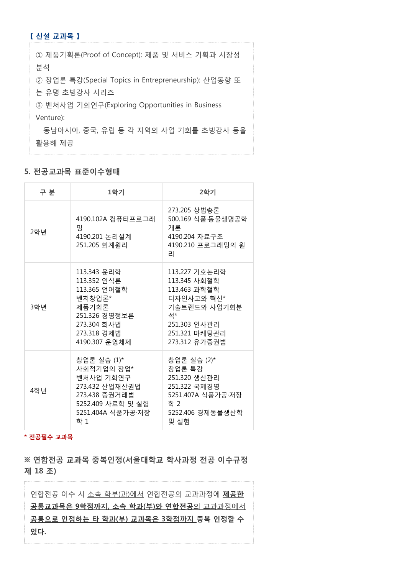# 【 신설 교과목 】

| ① 제품기획론(Proof of Concept): 제품 및 서비스 기획과 시장성          |  |  |
|------------------------------------------------------|--|--|
| 분석                                                   |  |  |
| ② 창업론 특강(Special Topics in Entrepreneurship): 산업동향 또 |  |  |
| 는 유명 초빙강사 시리즈                                        |  |  |
| ③ 벤처사업 기회연구(Exploring Opportunities in Business      |  |  |
| Venture):                                            |  |  |
| 동남아시아, 중국, 유럽 등 각 지역의 사업 기회를 초빙강사 등을                 |  |  |
| 활용해 제공                                               |  |  |

## 5. 전공교과목 표준이수형태

| 구 분 | 1학기                                                                                                                           | 2학기                                                                                                                                 |
|-----|-------------------------------------------------------------------------------------------------------------------------------|-------------------------------------------------------------------------------------------------------------------------------------|
| 2학년 | 4190.102A 컴퓨터프로그래<br>밍<br>4190.201 논리설계<br>251.205 회계원리                                                                       | 273.205 상법총론<br>500.169 식품·동물생명공학<br>개론<br>4190.204 자료구조<br>4190.210 프로그래밍의 원<br>리                                                  |
| 3학년 | 113.343 윤리학<br>113.352 인식론<br>113.365 언어철학<br>벤처창업론*<br>제품기획론<br>251.326 경영정보론<br>273.304 회사법<br>273.318 경제법<br>4190.307 운영체제 | 113.227 기호논리학<br>113.345 사회철학<br>113.463 과학철학<br>디자인사고와 혁신*<br>기술트렌드와 사업기회분<br>석*<br>251.303 인사관리<br>251.321 마케팅관리<br>273.312 유가증권법 |
| 4학년 | 창업론 실습 (1)*<br>사회적기업의 창업*<br>벤처사업 기회연구<br>273.432 산업재산권법<br>273.438 증권거래법<br>5252.409 사료학 및 실험<br>5251.404A 식품가공·저장<br>학 1    | 창업론 실습 (2)*<br>창업론 특강<br>251.320 생산관리<br>251.322 국제경영<br>5251.407A 식품가공·저장<br>학 2<br>5252.406 경제동물생산학<br>및 실험                       |

\* 전공필수 교과목

※ 연합전공 교과목 중복인정(서울대학교 학사과정 전공 이수규정 제 18 조)

연합전공 이수 시 소속 학부(과)에서 연합전공의 교과과정에 제공한 공통교과목은 9학점까지, 소속 학과(부)와 연합전공의 교과과정에서 공통으로 인정하는 타 학과(부) 교과목은 3학점까지 중복 인정할 수 있다.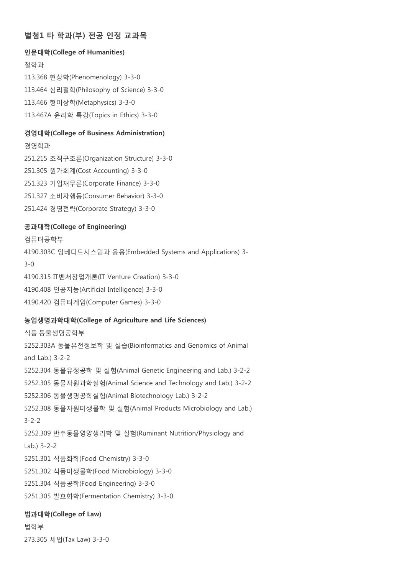# 별첨1 타 학과(부) 전공 인정 교과목

## 인문대학(College of Humanities)

철학과 113.368 현상학(Phenomenology) 3-3-0 113.464 심리철학(Philosophy of Science) 3-3-0 113.466 형이상학(Metaphysics) 3-3-0 113.467A 윤리학 특강(Topics in Ethics) 3-3-0

#### 경영대학(College of Business Administration)

경영학과

251.215 조직구조론(Organization Structure) 3-3-0

251.305 원가회계(Cost Accounting) 3-3-0

251.323 기업재무론(Corporate Finance) 3-3-0

251.327 소비자행동(Consumer Behavior) 3-3-0

251.424 경영전략(Corporate Strategy) 3-3-0

## 공과대학(College of Engineering)

컴퓨터공학부 4190.303C 임베디드시스템과 응용(Embedded Systems and Applications) 3- 3-0 4190.315 IT벤처창업개론(IT Venture Creation) 3-3-0 4190.408 인공지능(Artificial Intelligence) 3-3-0 4190.420 컴퓨터게임(Computer Games) 3-3-0

# 농업생명과학대학(College of Agriculture and Life Sciences)

식품·동물생명공학부 5252.303A 동물유전정보학 및 실습(Bioinformatics and Genomics of Animal and Lab.) 3-2-2 5252.304 동물유정공학 및 실험(Animal Genetic Engineering and Lab.) 3-2-2 5252.305 동물자원과학실험(Animal Science and Technology and Lab.) 3-2-2 5252.306 동물생명공학실험(Animal Biotechnology Lab.) 3-2-2 5252.308 동물자원미생물학 및 실험(Animal Products Microbiology and Lab.) 3-2-2 5252.309 반추동물영양생리학 및 실험(Ruminant Nutrition/Physiology and Lab.) 3-2-2 5251.301 식품화학(Food Chemistry) 3-3-0 5251.302 식품미생물학(Food Microbiology) 3-3-0 5251.304 식품공학(Food Engineering) 3-3-0 5251.305 발효화학(Fermentation Chemistry) 3-3-0 법과대학(College of Law)

# 법학부 273.305 세법(Tax Law) 3-3-0